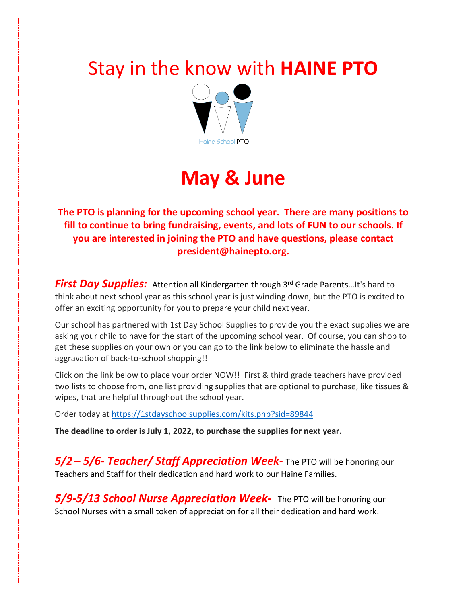## Stay in the know with **HAINE PTO**



# **May & June**

**The PTO is planning for the upcoming school year. There are many positions to fill to continue to bring fundraising, events, and lots of FUN to our schools. If you are interested in joining the PTO and have questions, please contact [president@hainepto.org.](mailto:president@hainepto.org)**

**First Day Supplies:** Attention all Kindergarten through 3<sup>rd</sup> Grade Parents...It's hard to think about next school year as this school year is just winding down, but the PTO is excited to offer an exciting opportunity for you to prepare your child next year.

Our school has partnered with 1st Day School Supplies to provide you the exact supplies we are asking your child to have for the start of the upcoming school year. Of course, you can shop to get these supplies on your own or you can go to the link below to eliminate the hassle and aggravation of back-to-school shopping!!

Click on the link below to place your order NOW!! First & third grade teachers have provided two lists to choose from, one list providing supplies that are optional to purchase, like tissues & wipes, that are helpful throughout the school year.

Order today at<https://1stdayschoolsupplies.com/kits.php?sid=89844>

**The deadline to order is July 1, 2022, to purchase the supplies for next year.**

*5/2 – 5/6- Teacher/ Staff Appreciation Week-* The PTO will be honoring our Teachers and Staff for their dedication and hard work to our Haine Families.

*5/9-5/13 School Nurse Appreciation Week-* The PTO will be honoring our School Nurses with a small token of appreciation for all their dedication and hard work.